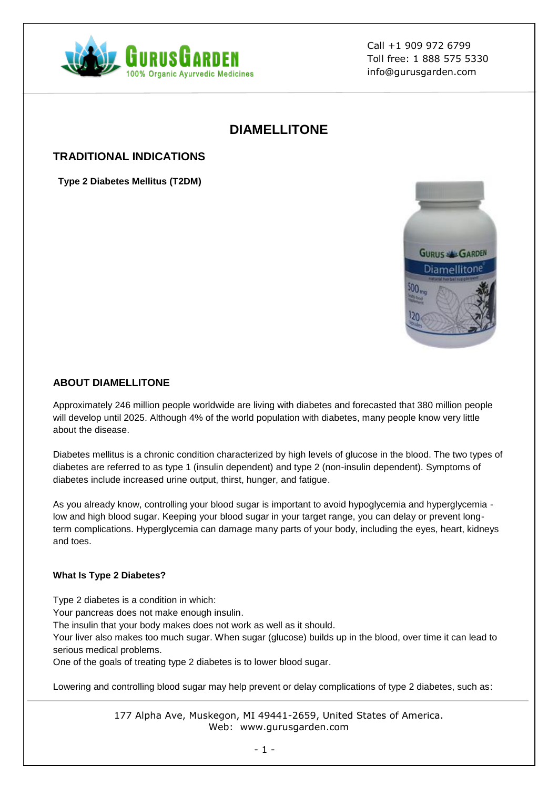

# **DIAMELLITONE**

## **TRADITIONAL INDICATIONS**

**Type 2 Diabetes Mellitus (T2DM)**



### **ABOUT DIAMELLITONE**

Approximately 246 million people worldwide are living with diabetes and forecasted that 380 million people will develop until 2025. Although 4% of the world population with diabetes, many people know very little about the disease.

Diabetes mellitus is a chronic condition characterized by high levels of glucose in the blood. The two types of diabetes are referred to as type 1 (insulin dependent) and type 2 (non-insulin dependent). Symptoms of diabetes include increased urine output, thirst, hunger, and fatigue.

As you already know, controlling your blood sugar is important to avoid hypoglycemia and hyperglycemia low and high blood sugar. Keeping your blood sugar in your target range, you can delay or prevent longterm complications. Hyperglycemia can damage many parts of your body, including the eyes, heart, kidneys and toes.

#### **What Is Type 2 Diabetes?**

Type 2 diabetes is a condition in which:

Your pancreas does not make enough insulin.

The insulin that your body makes does not work as well as it should.

Your liver also makes too much sugar. When sugar (glucose) builds up in the blood, over time it can lead to serious medical problems.

One of the goals of treating type 2 diabetes is to lower blood sugar.

Lowering and controlling blood sugar may help prevent or delay complications of type 2 diabetes, such as: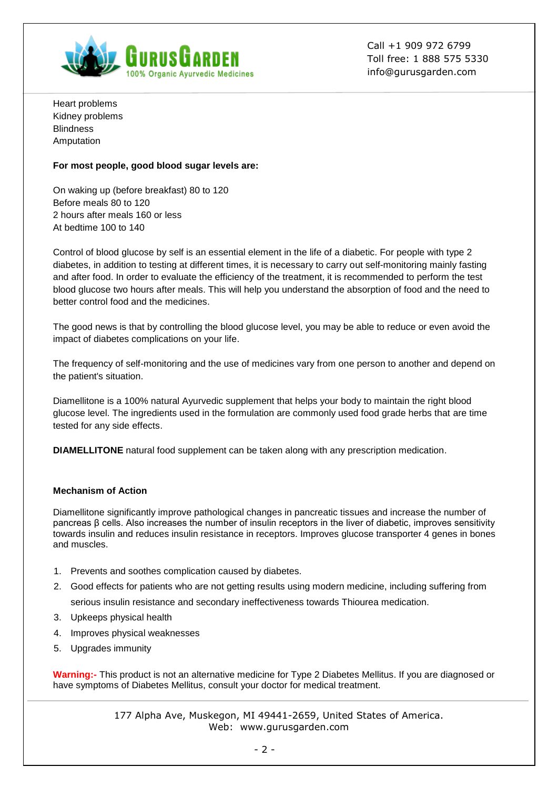

Heart problems Kidney problems **Blindness** Amputation

#### **For most people, good blood sugar levels are:**

On waking up (before breakfast) 80 to 120 Before meals 80 to 120 2 hours after meals 160 or less At bedtime 100 to 140

Control of blood glucose by self is an essential element in the life of a diabetic. For people with type 2 diabetes, in addition to testing at different times, it is necessary to carry out self-monitoring mainly fasting and after food. In order to evaluate the efficiency of the treatment, it is recommended to perform the test blood glucose two hours after meals. This will help you understand the absorption of food and the need to better control food and the medicines.

The good news is that by controlling the blood glucose level, you may be able to reduce or even avoid the impact of diabetes complications on your life.

The frequency of self-monitoring and the use of medicines vary from one person to another and depend on the patient's situation.

Diamellitone is a 100% natural Ayurvedic supplement that helps your body to maintain the right blood glucose level. The ingredients used in the formulation are commonly used food grade herbs that are time tested for any side effects.

**DIAMELLITONE** natural food supplement can be taken along with any prescription medication.

#### **Mechanism of Action**

Diamellitone significantly improve pathological changes in pancreatic tissues and increase the number of pancreas β cells. Also increases the number of insulin receptors in the liver of diabetic, improves sensitivity towards insulin and reduces insulin resistance in receptors. Improves glucose transporter 4 genes in bones and muscles.

- 1. Prevents and soothes complication caused by diabetes.
- 2. Good effects for patients who are not getting results using modern medicine, including suffering from serious insulin resistance and secondary ineffectiveness towards Thiourea medication.
- 3. Upkeeps physical health
- 4. Improves physical weaknesses
- 5. Upgrades immunity

**Warning:-** This product is not an alternative medicine for Type 2 Diabetes Mellitus. If you are diagnosed or have symptoms of Diabetes Mellitus, consult your doctor for medical treatment.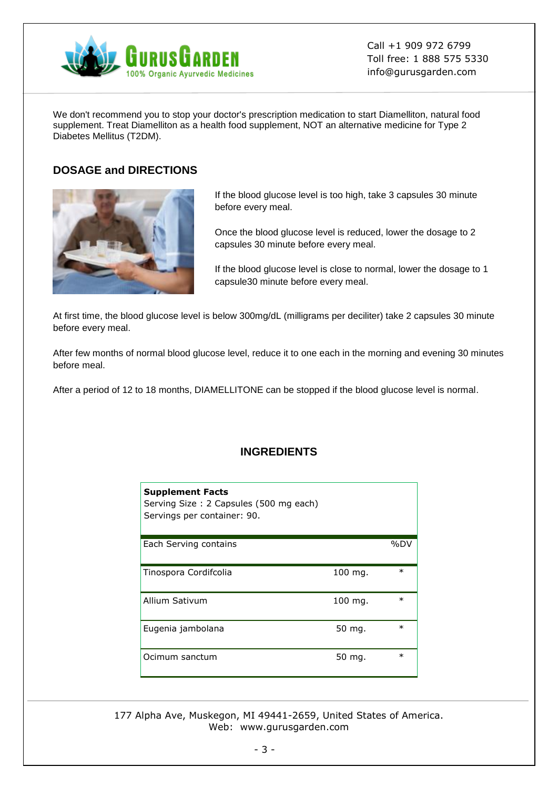

We don't recommend you to stop your doctor's prescription medication to start Diamelliton, natural food supplement. Treat Diamelliton as a health food supplement, NOT an alternative medicine for Type 2 Diabetes Mellitus (T2DM).

## **DOSAGE and DIRECTIONS**



If the blood glucose level is too high, take 3 capsules 30 minute before every meal.

Once the blood glucose level is reduced, lower the dosage to 2 capsules 30 minute before every meal.

If the blood glucose level is close to normal, lower the dosage to 1 capsule30 minute before every meal.

At first time, the blood glucose level is below 300mg/dL (milligrams per deciliter) take 2 capsules 30 minute before every meal.

After few months of normal blood glucose level, reduce it to one each in the morning and evening 30 minutes before meal.

After a period of 12 to 18 months, DIAMELLITONE can be stopped if the blood glucose level is normal.

### **INGREDIENTS**

| <b>Supplement Facts</b><br>Serving Size: 2 Capsules (500 mg each)<br>Servings per container: 90. |         |        |
|--------------------------------------------------------------------------------------------------|---------|--------|
| Each Serving contains                                                                            |         | %DV    |
| Tinospora Cordifcolia                                                                            | 100 mg. | $\ast$ |
| Allium Sativum                                                                                   | 100 mg. | $\ast$ |
| Eugenia jambolana                                                                                | 50 mg.  | $\ast$ |
| Ocimum sanctum                                                                                   | 50 mg.  | $\ast$ |